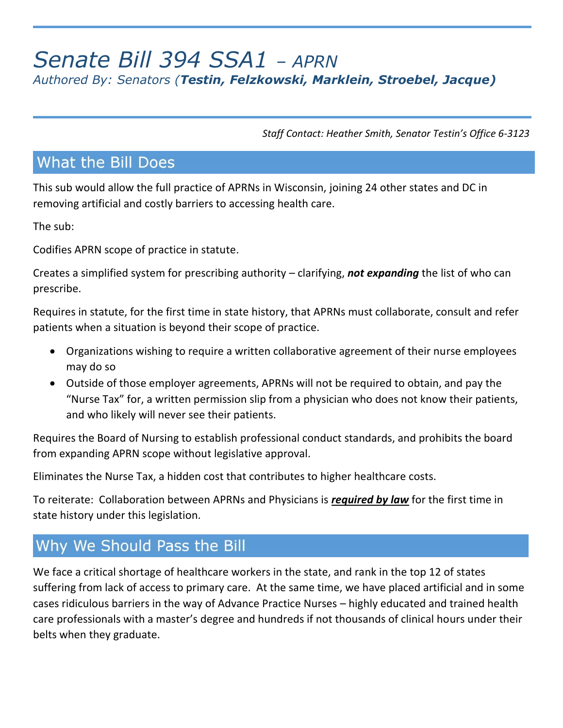# *Senate Bill 394 SSA1 – APRN Authored By: Senators (Testin, Felzkowski, Marklein, Stroebel, Jacque)*

*Staff Contact: Heather Smith, Senator Testin's Office 6-3123*

## **What the Bill Does**

This sub would allow the full practice of APRNs in Wisconsin, joining 24 other states and DC in removing artificial and costly barriers to accessing health care.

The sub:

Codifies APRN scope of practice in statute.

Creates a simplified system for prescribing authority – clarifying, *not expanding* the list of who can prescribe.

Requires in statute, for the first time in state history, that APRNs must collaborate, consult and refer patients when a situation is beyond their scope of practice.

- Organizations wishing to require a written collaborative agreement of their nurse employees may do so
- Outside of those employer agreements, APRNs will not be required to obtain, and pay the "Nurse Tax" for, a written permission slip from a physician who does not know their patients, and who likely will never see their patients.

Requires the Board of Nursing to establish professional conduct standards, and prohibits the board from expanding APRN scope without legislative approval.

Eliminates the Nurse Tax, a hidden cost that contributes to higher healthcare costs.

To reiterate: Collaboration between APRNs and Physicians is *required by law* for the first time in state history under this legislation.

## Why We Should Pass the Bill

We face a critical shortage of healthcare workers in the state, and rank in the top 12 of states suffering from lack of access to primary care. At the same time, we have placed artificial and in some cases ridiculous barriers in the way of Advance Practice Nurses – highly educated and trained health care professionals with a master's degree and hundreds if not thousands of clinical hours under their belts when they graduate.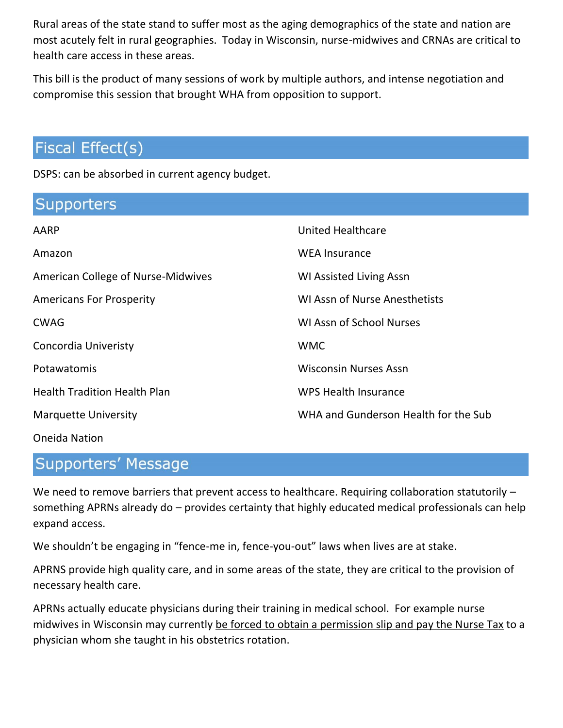Rural areas of the state stand to suffer most as the aging demographics of the state and nation are most acutely felt in rural geographies. Today in Wisconsin, nurse-midwives and CRNAs are critical to health care access in these areas.

This bill is the product of many sessions of work by multiple authors, and intense negotiation and compromise this session that brought WHA from opposition to support.

## Fiscal Effect(s)

DSPS: can be absorbed in current agency budget.

| Supporters                          |                                      |
|-------------------------------------|--------------------------------------|
| AARP                                | <b>United Healthcare</b>             |
| Amazon                              | <b>WEA Insurance</b>                 |
| American College of Nurse-Midwives  | <b>WI Assisted Living Assn</b>       |
| <b>Americans For Prosperity</b>     | <b>WI Assn of Nurse Anesthetists</b> |
| <b>CWAG</b>                         | <b>WI Assn of School Nurses</b>      |
| Concordia Univeristy                | <b>WMC</b>                           |
| Potawatomis                         | <b>Wisconsin Nurses Assn</b>         |
| <b>Health Tradition Health Plan</b> | <b>WPS Health Insurance</b>          |
| <b>Marquette University</b>         | WHA and Gunderson Health for the Sub |
|                                     |                                      |

### Oneida Nation

### **Supporters' Message**

We need to remove barriers that prevent access to healthcare. Requiring collaboration statutorily – something APRNs already do – provides certainty that highly educated medical professionals can help expand access.

We shouldn't be engaging in "fence-me in, fence-you-out" laws when lives are at stake.

APRNS provide high quality care, and in some areas of the state, they are critical to the provision of necessary health care.

APRNs actually educate physicians during their training in medical school. For example nurse midwives in Wisconsin may currently be forced to obtain a permission slip and pay the Nurse Tax to a physician whom she taught in his obstetrics rotation.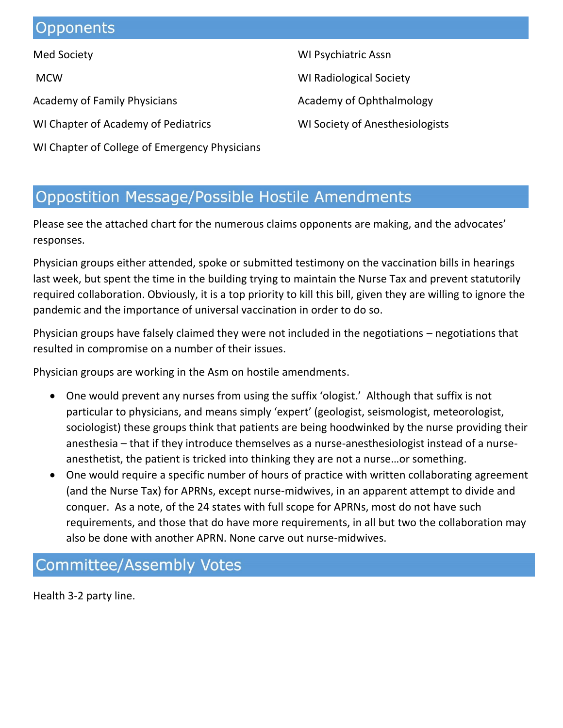## Opponents

Med Society

**MCW** 

Academy of Family Physicians

WI Chapter of Academy of Pediatrics

WI Chapter of College of Emergency Physicians

WI Psychiatric Assn WI Radiological Society Academy of Ophthalmology

WI Society of Anesthesiologists

## **Oppostition Message/Possible Hostile Amendments**

Please see the attached chart for the numerous claims opponents are making, and the advocates' responses.

Physician groups either attended, spoke or submitted testimony on the vaccination bills in hearings last week, but spent the time in the building trying to maintain the Nurse Tax and prevent statutorily required collaboration. Obviously, it is a top priority to kill this bill, given they are willing to ignore the pandemic and the importance of universal vaccination in order to do so.

Physician groups have falsely claimed they were not included in the negotiations – negotiations that resulted in compromise on a number of their issues.

Physician groups are working in the Asm on hostile amendments.

- One would prevent any nurses from using the suffix 'ologist.' Although that suffix is not particular to physicians, and means simply 'expert' (geologist, seismologist, meteorologist, sociologist) these groups think that patients are being hoodwinked by the nurse providing their anesthesia – that if they introduce themselves as a nurse-anesthesiologist instead of a nurseanesthetist, the patient is tricked into thinking they are not a nurse…or something.
- One would require a specific number of hours of practice with written collaborating agreement (and the Nurse Tax) for APRNs, except nurse-midwives, in an apparent attempt to divide and conquer. As a note, of the 24 states with full scope for APRNs, most do not have such requirements, and those that do have more requirements, in all but two the collaboration may also be done with another APRN. None carve out nurse-midwives.

## **Committee/Assembly Votes**

Health 3-2 party line.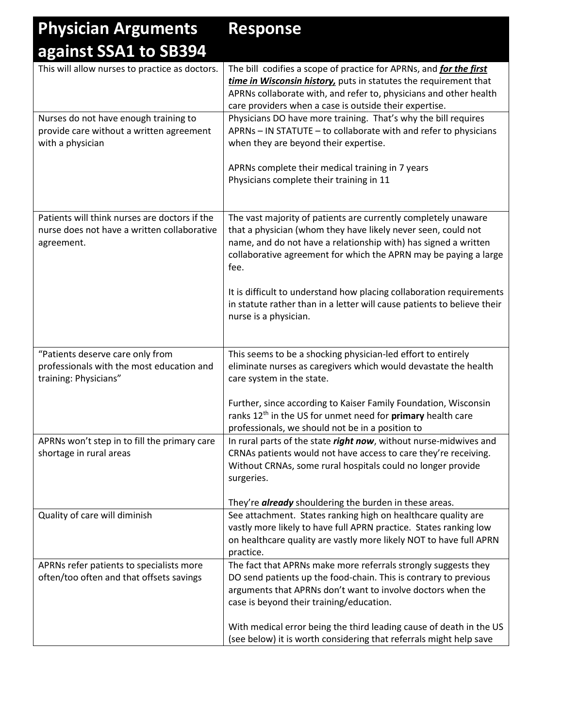### **Physician Arguments against SSA1 to SB394 Response**

| This will allow nurses to practice as doctors. | The bill codifies a scope of practice for APRNs, and <i>for the first</i> |
|------------------------------------------------|---------------------------------------------------------------------------|
|                                                | time in Wisconsin history, puts in statutes the requirement that          |
|                                                | APRNs collaborate with, and refer to, physicians and other health         |
|                                                | care providers when a case is outside their expertise.                    |
| Nurses do not have enough training to          | Physicians DO have more training. That's why the bill requires            |
| provide care without a written agreement       | APRNs - IN STATUTE - to collaborate with and refer to physicians          |
| with a physician                               | when they are beyond their expertise.                                     |
|                                                | APRNs complete their medical training in 7 years                          |
|                                                | Physicians complete their training in 11                                  |
|                                                |                                                                           |
|                                                |                                                                           |
| Patients will think nurses are doctors if the  | The vast majority of patients are currently completely unaware            |
| nurse does not have a written collaborative    | that a physician (whom they have likely never seen, could not             |
| agreement.                                     | name, and do not have a relationship with) has signed a written           |
|                                                | collaborative agreement for which the APRN may be paying a large          |
|                                                | fee.                                                                      |
|                                                |                                                                           |
|                                                | It is difficult to understand how placing collaboration requirements      |
|                                                | in statute rather than in a letter will cause patients to believe their   |
|                                                | nurse is a physician.                                                     |
|                                                |                                                                           |
| "Patients deserve care only from               | This seems to be a shocking physician-led effort to entirely              |
| professionals with the most education and      | eliminate nurses as caregivers which would devastate the health           |
| training: Physicians"                          | care system in the state.                                                 |
|                                                |                                                                           |
|                                                | Further, since according to Kaiser Family Foundation, Wisconsin           |
|                                                | ranks 12 <sup>th</sup> in the US for unmet need for primary health care   |
|                                                | professionals, we should not be in a position to                          |
| APRNs won't step in to fill the primary care   | In rural parts of the state right now, without nurse-midwives and         |
| shortage in rural areas                        | CRNAs patients would not have access to care they're receiving.           |
|                                                | Without CRNAs, some rural hospitals could no longer provide               |
|                                                | surgeries.                                                                |
|                                                |                                                                           |
|                                                | They're <b>already</b> shouldering the burden in these areas.             |
| Quality of care will diminish                  | See attachment. States ranking high on healthcare quality are             |
|                                                | vastly more likely to have full APRN practice. States ranking low         |
|                                                | on healthcare quality are vastly more likely NOT to have full APRN        |
|                                                | practice.                                                                 |
| APRNs refer patients to specialists more       | The fact that APRNs make more referrals strongly suggests they            |
| often/too often and that offsets savings       | DO send patients up the food-chain. This is contrary to previous          |
|                                                | arguments that APRNs don't want to involve doctors when the               |
|                                                | case is beyond their training/education.                                  |
|                                                |                                                                           |
|                                                | With medical error being the third leading cause of death in the US       |
|                                                | (see below) it is worth considering that referrals might help save        |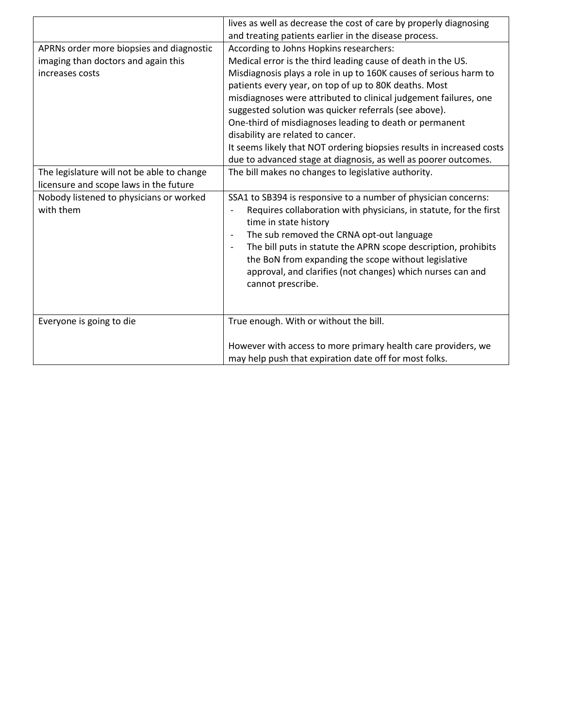|                                            | lives as well as decrease the cost of care by properly diagnosing     |
|--------------------------------------------|-----------------------------------------------------------------------|
|                                            | and treating patients earlier in the disease process.                 |
| APRNs order more biopsies and diagnostic   | According to Johns Hopkins researchers:                               |
| imaging than doctors and again this        | Medical error is the third leading cause of death in the US.          |
| increases costs                            | Misdiagnosis plays a role in up to 160K causes of serious harm to     |
|                                            | patients every year, on top of up to 80K deaths. Most                 |
|                                            | misdiagnoses were attributed to clinical judgement failures, one      |
|                                            | suggested solution was quicker referrals (see above).                 |
|                                            | One-third of misdiagnoses leading to death or permanent               |
|                                            | disability are related to cancer.                                     |
|                                            | It seems likely that NOT ordering biopsies results in increased costs |
|                                            | due to advanced stage at diagnosis, as well as poorer outcomes.       |
| The legislature will not be able to change | The bill makes no changes to legislative authority.                   |
| licensure and scope laws in the future     |                                                                       |
| Nobody listened to physicians or worked    | SSA1 to SB394 is responsive to a number of physician concerns:        |
| with them                                  | Requires collaboration with physicians, in statute, for the first     |
|                                            | time in state history                                                 |
|                                            | The sub removed the CRNA opt-out language<br>$\overline{\phantom{a}}$ |
|                                            | The bill puts in statute the APRN scope description, prohibits        |
|                                            | the BoN from expanding the scope without legislative                  |
|                                            | approval, and clarifies (not changes) which nurses can and            |
|                                            | cannot prescribe.                                                     |
|                                            |                                                                       |
|                                            |                                                                       |
| Everyone is going to die                   | True enough. With or without the bill.                                |
|                                            |                                                                       |
|                                            | However with access to more primary health care providers, we         |
|                                            | may help push that expiration date off for most folks.                |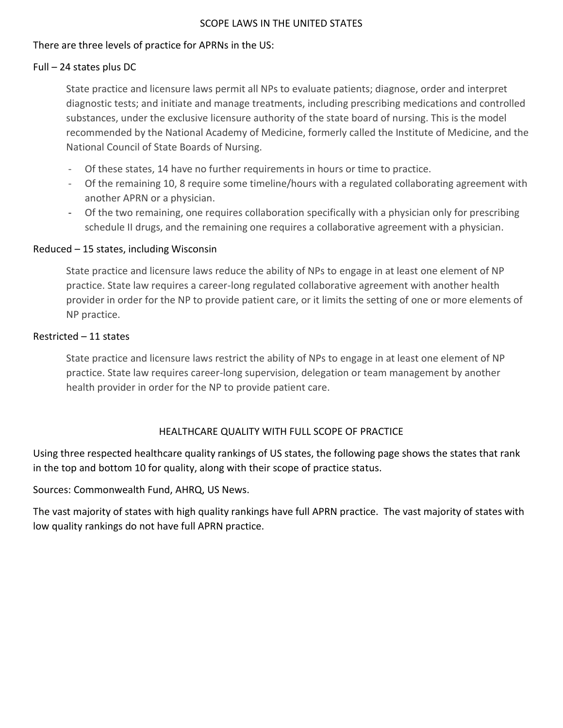### SCOPE LAWS IN THE UNITED STATES

### There are three levels of practice for APRNs in the US:

### Full – 24 states plus DC

State practice and licensure laws permit all NPs to evaluate patients; diagnose, order and interpret diagnostic tests; and initiate and manage treatments, including prescribing medications and controlled substances, under the exclusive licensure authority of the state board of nursing. This is the model recommended by the National Academy of Medicine, formerly called the Institute of Medicine, and the National Council of State Boards of Nursing.

- Of these states, 14 have no further requirements in hours or time to practice.
- Of the remaining 10, 8 require some timeline/hours with a regulated collaborating agreement with another APRN or a physician.
- Of the two remaining, one requires collaboration specifically with a physician only for prescribing schedule II drugs, and the remaining one requires a collaborative agreement with a physician.

### Reduced – 15 states, including Wisconsin

State practice and licensure laws reduce the ability of NPs to engage in at least one element of NP practice. State law requires a career-long regulated collaborative agreement with another health provider in order for the NP to provide patient care, or it limits the setting of one or more elements of NP practice.

### Restricted – 11 states

State practice and licensure laws restrict the ability of NPs to engage in at least one element of NP practice. State law requires career-long supervision, delegation or team management by another health provider in order for the NP to provide patient care.

### HEALTHCARE QUALITY WITH FULL SCOPE OF PRACTICE

Using three respected healthcare quality rankings of US states, the following page shows the states that rank in the top and bottom 10 for quality, along with their scope of practice status.

Sources: Commonwealth Fund, AHRQ, US News.

The vast majority of states with high quality rankings have full APRN practice. The vast majority of states with low quality rankings do not have full APRN practice.